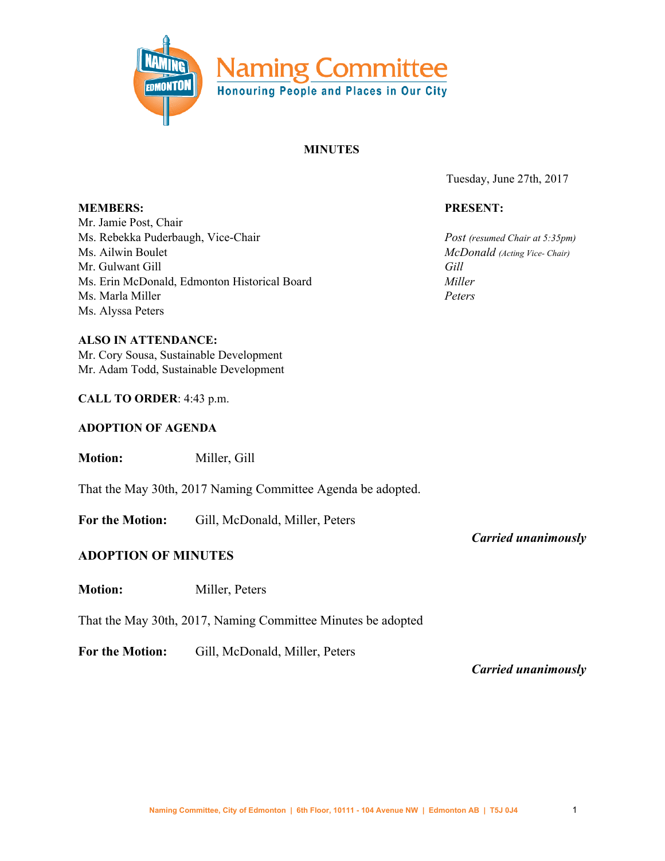

## **MINUTES**

Tuesday, June 27th, 2017

#### **PRESENT:**

*Post (resumed Chair at 5:35pm) McDonald (Acting Vice- Chair) Gill Miller Peters*

**MEMBERS:** Mr. Jamie Post, Chair Ms. Rebekka Puderbaugh, Vice-Chair Ms. Ailwin Boulet Mr. Gulwant Gill Ms. Erin McDonald, Edmonton Historical Board Ms. Marla Miller Ms. Alyssa Peters

**ALSO IN ATTENDANCE:** Mr. Cory Sousa, Sustainable Development Mr. Adam Todd, Sustainable Development

#### **CALL TO ORDER**: 4:43 p.m.

#### **ADOPTION OF AGENDA**

**Motion:** Miller, Gill

That the May 30th, 2017 Naming Committee Agenda be adopted.

**For the Motion:** Gill, McDonald, Miller, Peters

## **ADOPTION OF MINUTES**

**Motion:** Miller, Peters

That the May 30th, 2017, Naming Committee Minutes be adopted

**For the Motion:** Gill, McDonald, Miller, Peters

*Carried unanimously*

*Carried unanimously*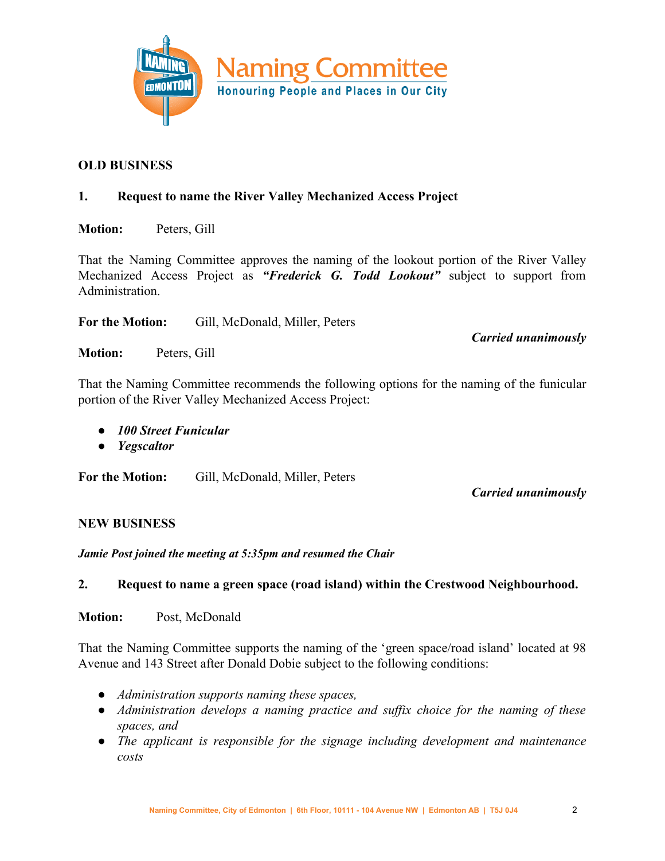

## **OLD BUSINESS**

## **1. Request to name the River Valley Mechanized Access Project**

**Motion:** Peters, Gill

That the Naming Committee approves the naming of the lookout portion of the River Valley Mechanized Access Project as *"Frederick G. Todd Lookout"* subject to support from Administration.

**For the Motion:** Gill, McDonald, Miller, Peters

*Carried unanimously*

**Motion:** Peters, Gill

That the Naming Committee recommends the following options for the naming of the funicular portion of the River Valley Mechanized Access Project:

- *● 100 Street Funicular*
- *● Yegscaltor*

**For the Motion:** Gill, McDonald, Miller, Peters

*Carried unanimously*

## **NEW BUSINESS**

*Jamie Post joined the meeting at 5:35pm and resumed the Chair*

# **2. Request to name a green space (road island) within the Crestwood Neighbourhood.**

**Motion:** Post, McDonald

That the Naming Committee supports the naming of the 'green space/road island' located at 98 Avenue and 143 Street after Donald Dobie subject to the following conditions:

- *● Administration supports naming these spaces,*
- *● Administration develops a naming practice and suffix choice for the naming of these spaces, and*
- *● The applicant is responsible for the signage including development and maintenance costs*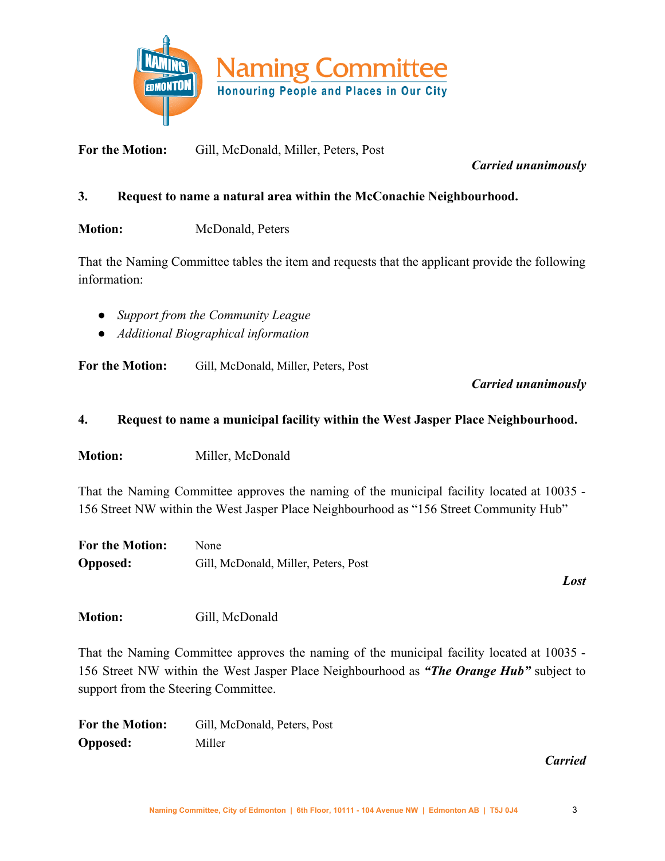

**For the Motion:** Gill, McDonald, Miller, Peters, Post

# *Carried unanimously*

# **3. Request to name a natural area within the McConachie Neighbourhood.**

**Motion:** McDonald, Peters

That the Naming Committee tables the item and requests that the applicant provide the following information:

- *● Support from the Community League*
- *● Additional Biographical information*

**For the Motion:** Gill, McDonald, Miller, Peters, Post

# *Carried unanimously*

# **4. Request to name a municipal facility within the West Jasper Place Neighbourhood.**

**Motion:** Miller, McDonald

That the Naming Committee approves the naming of the municipal facility located at 10035 - 156 Street NW within the West Jasper Place Neighbourhood as "156 Street Community Hub"

| <b>For the Motion:</b> | None                                 |
|------------------------|--------------------------------------|
| <b>Opposed:</b>        | Gill, McDonald, Miller, Peters, Post |

*Lost*

Motion: Gill, McDonald

That the Naming Committee approves the naming of the municipal facility located at 10035 - 156 Street NW within the West Jasper Place Neighbourhood as *"The Orange Hub"* subject to support from the Steering Committee.

**For the Motion:** Gill, McDonald, Peters, Post **Opposed:** Miller

## *Carried*